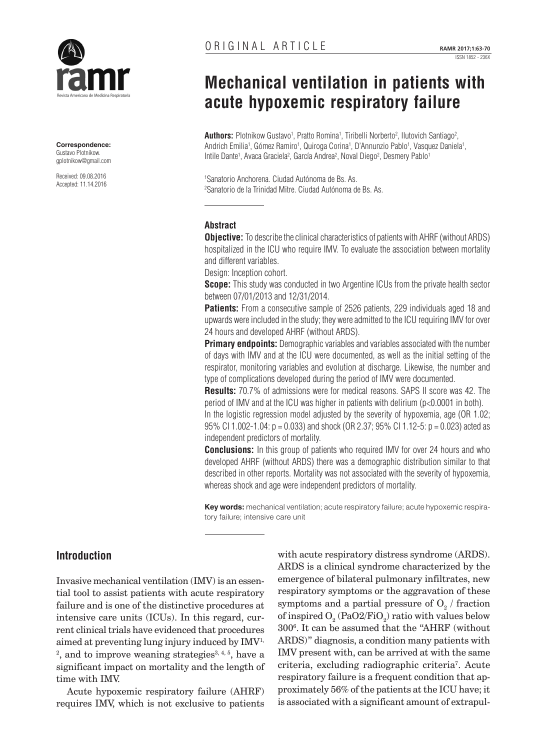

**Correspondence:** Gustavo Plotnikow. [gplotnikow@gmail.com](mailto:gplotnikow@gmail.com)

Received: 09.08.2016 Accepted: 11.14.2016

# **Mechanical ventilation in patients with acute hypoxemic respiratory failure**

**Authors:** Plotnikow Gustavo<sup>1</sup>, Pratto Romina<sup>1</sup>, Tiribelli Norberto<sup>2</sup>, Ilutovich Santiago<sup>2</sup>, Andrich Emilia<sup>1</sup>, Gómez Ramiro<sup>1</sup>, Quiroga Corina<sup>1</sup>, D'Annunzio Pablo<sup>1</sup>, Vasquez Daniela<sup>1</sup>, Intile Dante<sup>1</sup>, Avaca Graciela<sup>2</sup>, García Andrea<sup>2</sup>, Noval Diego<sup>2</sup>, Desmery Pablo<sup>1</sup>

1 Sanatorio Anchorena. Ciudad Autónoma de Bs. As. 2 Sanatorio de la Trinidad Mitre. Ciudad Autónoma de Bs. As.

## **Abstract**

**Objective:** To describe the clinical characteristics of patients with AHRF (without ARDS) hospitalized in the ICU who require IMV. To evaluate the association between mortality and different variables.

Design: Inception cohort.

**Scope:** This study was conducted in two Argentine ICUs from the private health sector between 07/01/2013 and 12/31/2014.

**Patients:** From a consecutive sample of 2526 patients, 229 individuals aged 18 and upwards were included in the study; they were admitted to the ICU requiring IMV for over 24 hours and developed AHRF (without ARDS).

**Primary endpoints:** Demographic variables and variables associated with the number of days with IMV and at the ICU were documented, as well as the initial setting of the respirator, monitoring variables and evolution at discharge. Likewise, the number and type of complications developed during the period of IMV were documented.

**Results:** 70.7% of admissions were for medical reasons. SAPS II score was 42. The period of IMV and at the ICU was higher in patients with delirium (p<0.0001 in both).

In the logistic regression model adjusted by the severity of hypoxemia, age (OR 1.02; 95% CI 1.002-1.04: p = 0.033) and shock (OR 2.37; 95% CI 1.12-5: p = 0.023) acted as independent predictors of mortality.

**Conclusions:** In this group of patients who required IMV for over 24 hours and who developed AHRF (without ARDS) there was a demographic distribution similar to that described in other reports. Mortality was not associated with the severity of hypoxemia, whereas shock and age were independent predictors of mortality.

**Key words:** mechanical ventilation; acute respiratory failure; acute hypoxemic respiratory failure; intensive care unit

# **Introduction**

Invasive mechanical ventilation (IMV) is an essential tool to assist patients with acute respiratory failure and is one of the distinctive procedures at intensive care units (ICUs). In this regard, current clinical trials have evidenced that procedures aimed at preventing lung injury induced by IMV<sup>1,</sup> <sup>2</sup>, and to improve weaning strategies<sup>3, 4, 5</sup>, have a significant impact on mortality and the length of time with IMV.

Acute hypoxemic respiratory failure (AHRF) requires IMV, which is not exclusive to patients

with acute respiratory distress syndrome (ARDS). ARDS is a clinical syndrome characterized by the emergence of bilateral pulmonary infiltrates, new respiratory symptoms or the aggravation of these symptoms and a partial pressure of  $O_{_{2}}$  / fraction of inspired  $\mathrm{O}_2$  (PaO2/FiO<sub>2</sub>) ratio with values below 3006 . It can be assumed that the "AHRF (without ARDS)" diagnosis, a condition many patients with IMV present with, can be arrived at with the same criteria, excluding radiographic criteria<sup>7</sup>. Acute respiratory failure is a frequent condition that approximately 56% of the patients at the ICU have; it is associated with a significant amount of extrapul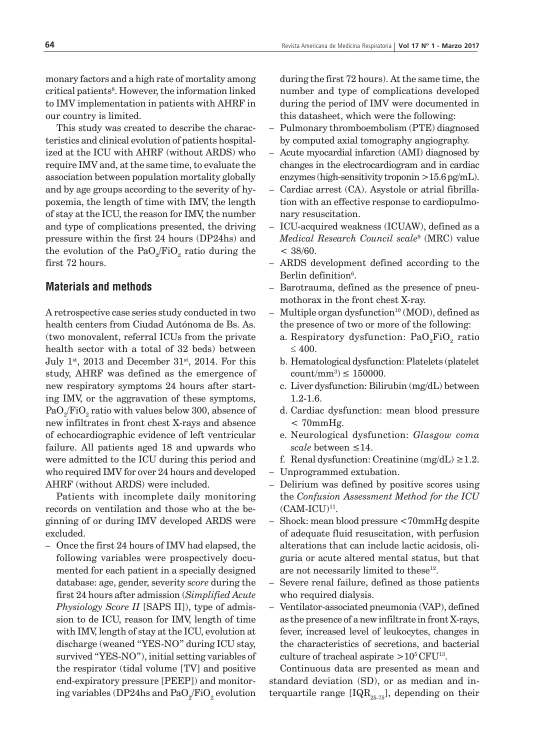monary factors and a high rate of mortality among critical patients<sup>8</sup>. However, the information linked to IMV implementation in patients with AHRF in our country is limited.

This study was created to describe the characteristics and clinical evolution of patients hospitalized at the ICU with AHRF (without ARDS) who require IMV and, at the same time, to evaluate the association between population mortality globally and by age groups according to the severity of hypoxemia, the length of time with IMV, the length of stay at the ICU, the reason for IMV, the number and type of complications presented, the driving pressure within the first 24 hours (DP24hs) and the evolution of the PaO<sub>2</sub>/FiO<sub>2</sub> ratio during the first 72 hours.

# **Materials and methods**

A retrospective case series study conducted in two health centers from Ciudad Autónoma de Bs. As. (two monovalent, referral ICUs from the private health sector with a total of 32 beds) between July  $1^{st}$ , 2013 and December 31<sup>st</sup>, 2014. For this study, AHRF was defined as the emergence of new respiratory symptoms 24 hours after starting IMV, or the aggravation of these symptoms,  $\mathrm{PaO}_2/\mathrm{FiO}_2$  ratio with values below 300, absence of new infiltrates in front chest X-rays and absence of echocardiographic evidence of left ventricular failure. All patients aged 18 and upwards who were admitted to the ICU during this period and who required IMV for over 24 hours and developed AHRF (without ARDS) were included.

Patients with incomplete daily monitoring records on ventilation and those who at the beginning of or during IMV developed ARDS were excluded.

– Once the first 24 hours of IMV had elapsed, the following variables were prospectively documented for each patient in a specially designed database: age, gender, severity s*core* during the first 24 hours after admission (*Simplified Acute Physiology Score II* [SAPS II]), type of admission to de ICU, reason for IMV, length of time with IMV, length of stay at the ICU, evolution at discharge (weaned "YES-NO" during ICU stay, survived "YES-NO"), initial setting variables of the respirator (tidal volume [TV] and positive end-expiratory pressure [PEEP]) and monitoring variables (DP24hs and  $\mathrm{PaO}_2/\mathrm{FiO}_2$  evolution during the first 72 hours). At the same time, the number and type of complications developed during the period of IMV were documented in this datasheet, which were the following:

- Pulmonary thromboembolism (PTE) diagnosed by computed axial tomography angiography.
- Acute myocardial infarction (AMI) diagnosed by changes in the electrocardiogram and in cardiac enzymes (high-sensitivity troponin  $>15.6$  pg/mL).
- Cardiac arrest (CA). Asystole or atrial fibrillation with an effective response to cardiopulmonary resuscitation.
- ICU-acquired weakness (ICUAW), defined as a *Medical Research Council scale*<sup>9</sup> (MRC) value  $<$  38/60.
- ARDS development defined according to the Berlin definition<sup>6</sup>.
- Barotrauma, defined as the presence of pneumothorax in the front chest X-ray.
- Multiple organ dysfunction<sup>10</sup> (MOD), defined as the presence of two or more of the following:
	- a. Respiratory dysfunction: PaO<sub>2</sub>FiO<sub>2</sub> ratio ≤ 400.
	- b. Hematological dysfunction: Platelets (platelet  $\text{count/mm}^3$ )  $\leq 150000$ .
	- c. Liver dysfunction: Bilirubin (mg/dL) between 1.2-1.6.
	- d. Cardiac dysfunction: mean blood pressure  $< 70$ mm $Hg$ .
	- e. Neurological dysfunction: *Glasgow coma scale* between ≤14.
	- f. Renal dysfunction: Creatinine  $(mg/dL) \geq 1.2$ .
- Unprogrammed extubation.
- Delirium was defined by positive scores using the *Confusion Assessment Method for the ICU*  $(CAM-ICU)^{11}$ .
- Shock: mean blood pressure <70mmHg despite of adequate fluid resuscitation, with perfusion alterations that can include lactic acidosis, oliguria or acute altered mental status, but that are not necessarily limited to these<sup>12</sup>.
- Severe renal failure, defined as those patients who required dialysis.
- Ventilator-associated pneumonia (VAP), defined as the presence of a new infiltrate in front X-rays, fever, increased level of leukocytes, changes in the characteristics of secretions, and bacterial culture of tracheal aspirate  $>10^5$  CFU<sup>13</sup>.

Continuous data are presented as mean and standard deviation (SD), or as median and interquartile range [IQR<sub>25-75</sub>], depending on their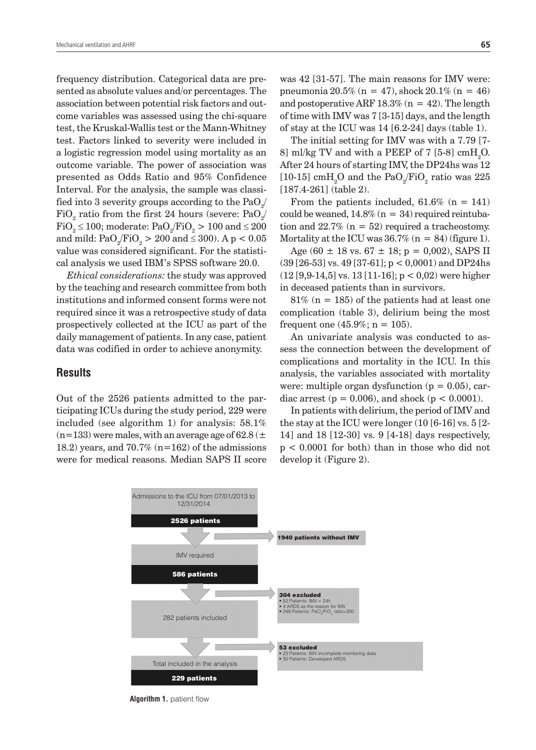frequency distribution. Categorical data are presented as absolute values and/or percentages. The association between potential risk factors and outcome variables was assessed using the chi-square test, the Kruskal-Wallis test or the Mann-Whitney test. Factors linked to severity were included in a logistic regression model using mortality as an outcome variable. The power of association was presented as Odds Ratio and 95% Confidence Interval. For the analysis, the sample was classified into 3 severity groups according to the  $\mathrm{PaO}_2/$  ${\rm FiO}_2^{}$  ratio from the first  $24$  hours (severe:  ${\rm PaO}_2^{}/\,$  $\text{FiO}_2 \le 100$ ; moderate:  $\text{PaO}_2/\text{FiO}_2 > 100$  and  $\le 200$ and mild:  $\text{PaO}_2/\text{FiO}_2 > 200$  and  $\leq 300$ ). A p  $< 0.05$ value was considered significant. For the statistical analysis we used IBM's SPSS software 20.0.

*Ethical considerations:* the study was approved by the teaching and research committee from both institutions and informed consent forms were not required since it was a retrospective study of data prospectively collected at the ICU as part of the daily management of patients. In any case, patient data was codified in order to achieve anonymity.

#### **Results**

Out of the 2526 patients admitted to the participating ICUs during the study period, 229 were included (see algorithm 1) for analysis: 58.1% (n=133) were males, with an average age of 62.8 ( $\pm$ 18.2) years, and 70.7%  $(n=162)$  of the admissions were for medical reasons. Median SAPS II score

The initial setting for IMV was with a 7.79 [7- 8] ml/kg TV and with a PEEP of 7 [5-8] cmH<sub>2</sub>O. After 24 hours of starting IMV, the DP24hs was 12 [10-15] cmH<sub>2</sub>O and the PaO<sub>2</sub>/FiO<sub>2</sub> ratio was 225 [187.4-261] (table 2).

From the patients included,  $61.6\%$  (n = 141) could be weaned,  $14.8\%$  (n = 34) required reintubation and  $22.7\%$  (n = 52) required a tracheostomy. Mortality at the ICU was  $36.7\%$  (n = 84) (figure 1).

Age (60  $\pm$  18 vs. 67  $\pm$  18; p = 0,002), SAPS II  $(39 [26-53] \text{ vs. } 49 [37-61]; p < 0,0001)$  and DP24hs  $(12 [9, 9-14, 5]$  vs.  $13 [11-16]$ ;  $p < 0.02$ ) were higher in deceased patients than in survivors.

 $81\%$  (n = 185) of the patients had at least one complication (table 3), delirium being the most frequent one  $(45.9\%; n = 105)$ .

An univariate analysis was conducted to assess the connection between the development of complications and mortality in the ICU. In this analysis, the variables associated with mortality were: multiple organ dysfunction  $(p = 0.05)$ , cardiac arrest ( $p = 0.006$ ), and shock ( $p < 0.0001$ ).

In patients with delirium, the period of IMV and the stay at the ICU were longer (10 [6-16] vs. 5 [2- 14] and 18 [12-30] vs. 9 [4-18] days respectively, p < 0.0001 for both) than in those who did not develop it (Figure 2).



**Algorithm 1.** patient flow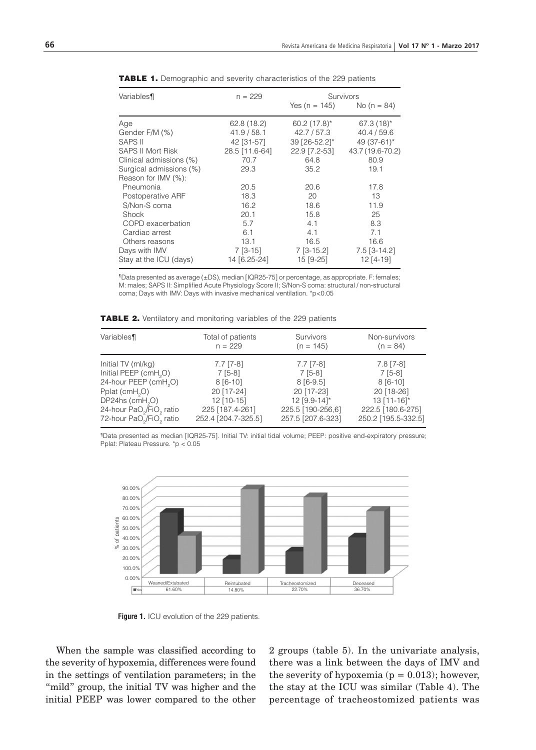| Variables¶               | $n = 229$      | Survivors      |                  |
|--------------------------|----------------|----------------|------------------|
|                          |                | Yes (n = 145)  | No ( $n = 84$ )  |
| Age                      | 62.8(18.2)     | $60.2(17.8)$ * | $67.3(18)$ *     |
| Gender F/M (%)           | 41.9/58.1      | 42.7 / 57.3    | 40.4 / 59.6      |
| <b>SAPS II</b>           | 42 [31-57]     | 39 [26-52.2]*  | 49 (37-61)*      |
| <b>SAPS II Mort Risk</b> | 28.5 [11.6-64] | 22.9 [7.2-53]  | 43.7 (19.6-70.2) |
| Clinical admissions (%)  | 70.7           | 64.8           | 80.9             |
| Surgical admissions (%)  | 29.3           | 35.2           | 19.1             |
| Reason for IMV (%):      |                |                |                  |
| Pneumonia                | 20.5           | 20.6           | 17.8             |
| Postoperative ARF        | 18.3           | 20             | 13               |
| S/Non-S coma             | 16.2           | 18.6           | 11.9             |
| Shock                    | 20.1           | 15.8           | 25               |
| COPD exacerbation        | 5.7            | 4.1            | 8.3              |
| Cardiac arrest           | 6.1            | 4.1            | 7.1              |
| Others reasons           | 13.1           | 16.5           | 16.6             |
| Days with IMV            | $7$ [3-15]     | $7$ [3-15.2]   | $7.5$ [3-14.2]   |
| Stay at the ICU (days)   | 14 [6.25-24]   | 15 [9-25]      | 12 [4-19]        |

TABLE 1. Demographic and severity characteristics of the 229 patients

¶Data presented as average (±DS), median [IQR25-75] or percentage, as appropriate. F: females; M: males; SAPS II: Simplified Acute Physiology Score II; S/Non-S coma: structural / non-structural coma; Days with IMV: Days with invasive mechanical ventilation. \*p<0.05

TABLE 2. Ventilatory and monitoring variables of the 229 patients

| Variables¶                                                                                           | Total of patients<br>$n = 229$         | Survivors<br>$(n = 145)$               | Non-survivors<br>$(n = 84)$              |
|------------------------------------------------------------------------------------------------------|----------------------------------------|----------------------------------------|------------------------------------------|
| Initial TV (ml/kg)                                                                                   | $7.7$ [7-8]                            | $7.7$ [7-8]                            | $7.8$ [7-8]                              |
| Initial PEEP (cmH <sub>2</sub> O)                                                                    | $7[5-8]$                               | $7[5-8]$                               | $7[5-8]$                                 |
| 24-hour PEEP (cmH <sub>2</sub> O)                                                                    | $8[6-10]$                              | $8[6-9.5]$                             | $8[6-10]$                                |
| Pplat (cmH <sub>2</sub> O)                                                                           | 20 [17-24]                             | 20 [17-23]                             | 20 [18-26]                               |
| DP24hs (cmH <sub>2</sub> O)                                                                          | $12$ [10-15]                           | 12 [9.9-14]*                           | $13$ [11-16]*                            |
| 24-hour PaO <sub>2</sub> /FiO <sub>2</sub> ratio<br>72-hour PaO <sub>2</sub> /FiO <sub>2</sub> ratio | 225 [187.4-261]<br>252.4 [204.7-325.5] | 225.5 [190-256,6]<br>257.5 [207.6-323] | 222.5 [180.6-275]<br>250.2 [195.5-332.5] |

¶Data presented as median [IQR25-75]. Initial TV: initial tidal volume; PEEP: positive end-expiratory pressure; Pplat: Plateau Pressure. \*p < 0.05



**Figure 1.** ICU evolution of the 229 patients.

When the sample was classified according to the severity of hypoxemia, differences were found in the settings of ventilation parameters; in the "mild" group, the initial TV was higher and the initial PEEP was lower compared to the other 2 groups (table 5). In the univariate analysis, there was a link between the days of IMV and the severity of hypoxemia ( $p = 0.013$ ); however, the stay at the ICU was similar (Table 4). The percentage of tracheostomized patients was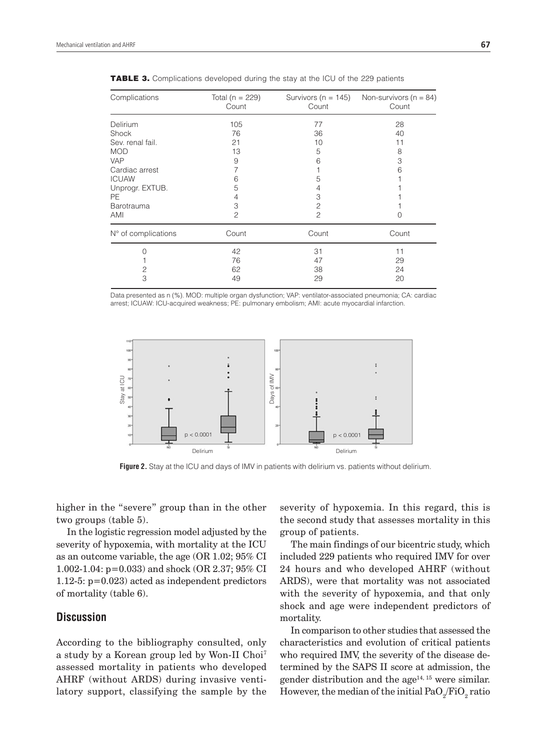| Complications       | Total ( $n = 229$ )<br>Count | Survivors ( $n = 145$ )<br>Count | Non-survivors ( $n = 84$ )<br>Count |
|---------------------|------------------------------|----------------------------------|-------------------------------------|
| Delirium            | 105                          | 77                               | 28                                  |
| Shock               | 76                           | 36                               | 40                                  |
| Sev. renal fail.    | 21                           | 10                               | 11                                  |
| <b>MOD</b>          | 13                           | 5                                | 8                                   |
| <b>VAP</b>          | 9                            | 6                                | 3                                   |
| Cardiac arrest      |                              |                                  | 6                                   |
| <b>ICUAW</b>        | 6                            | 5                                |                                     |
| Unprogr. EXTUB.     | 5                            | 4                                |                                     |
| <b>PE</b>           | 4                            | 3                                |                                     |
| <b>Barotrauma</b>   | 3                            | 2                                |                                     |
| AMI                 | $\overline{c}$               | $\overline{c}$                   |                                     |
| N° of complications | Count                        | Count                            | Count                               |
|                     | 42                           | 31                               | 11                                  |
|                     | 76                           | 47                               | 29                                  |
| 2                   | 62                           | 38                               | 24                                  |
| 3                   | 49                           | 29                               | 20                                  |

**TABLE 3.** Complications developed during the stay at the ICU of the 229 patients

Data presented as n (%). MOD: multiple organ dysfunction; VAP: ventilator-associated pneumonia; CA: cardiac arrest; ICUAW: ICU-acquired weakness; PE: pulmonary embolism; AMI: acute myocardial infarction.



**Figure 2.** Stay at the ICU and days of IMV in patients with delirium vs. patients without delirium.

higher in the "severe" group than in the other two groups (table 5).

In the logistic regression model adjusted by the severity of hypoxemia, with mortality at the ICU as an outcome variable, the age (OR 1.02; 95% CI 1.002-1.04: p=0.033) and shock (OR 2.37; 95% CI 1.12-5: p=0.023) acted as independent predictors of mortality (table 6).

### **Discussion**

According to the bibliography consulted, only a study by a Korean group led by Won-II Choi7 assessed mortality in patients who developed AHRF (without ARDS) during invasive ventilatory support, classifying the sample by the severity of hypoxemia. In this regard, this is the second study that assesses mortality in this group of patients.

The main findings of our bicentric study, which included 229 patients who required IMV for over 24 hours and who developed AHRF (without ARDS), were that mortality was not associated with the severity of hypoxemia, and that only shock and age were independent predictors of mortality.

In comparison to other studies that assessed the characteristics and evolution of critical patients who required IMV, the severity of the disease determined by the SAPS II score at admission, the gender distribution and the  $age^{14, 15}$  were similar. However, the median of the initial  $\mathrm{PaO}_2/\mathrm{FiO}_2$  ratio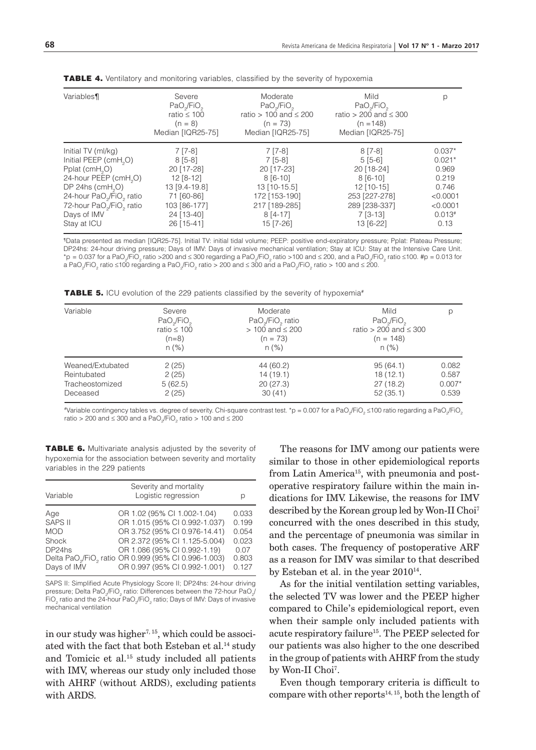| Variables¶                                                                                                                                                                                                                                                                            | Severe<br>$PaO$ <sub>/FiO</sub><br>ratio $\leq 100$<br>$(n = 8)$<br>Median [IQR25-75]                                         | Moderate<br>PaO <sub>2</sub> /FiO <sub>2</sub><br>ratio > 100 and $\leq$ 200<br>$(n = 73)$<br>Median [IQR25-75]                | Mild<br>PaO <sub>2</sub> /FiO <sub>2</sub><br>ratio > 200 and $\leq$ 300<br>$(n = 148)$<br>Median [IQR25-75]                 |                                                                                             |
|---------------------------------------------------------------------------------------------------------------------------------------------------------------------------------------------------------------------------------------------------------------------------------------|-------------------------------------------------------------------------------------------------------------------------------|--------------------------------------------------------------------------------------------------------------------------------|------------------------------------------------------------------------------------------------------------------------------|---------------------------------------------------------------------------------------------|
| Initial TV (ml/kg)<br>Initial PEEP (cmH <sub>2</sub> O)<br>Pplat (cmH <sub>2</sub> O)<br>24-hour PEEP (cmH <sub>2</sub> O)<br>DP 24hs $(cmH2O)$<br>24-hour PaO <sub>2</sub> /FiO <sub>2</sub> ratio<br>72-hour PaO <sub>2</sub> /FiO <sub>2</sub> ratio<br>Days of IMV<br>Stay at ICU | $7$ [7-8]<br>$8[5-8]$<br>20 [17-28]<br>$12 [8-12]$<br>13 [9.4-19.8]<br>71 [60-86]<br>103 [86-177]<br>24 [13-40]<br>26 [15-41] | $7$ [7-8]<br>$7[5-8]$<br>20 [17-23]<br>$8[6-10]$<br>13 [10-15.5]<br>172 [153-190]<br>217 [189-285]<br>$8[4-17]$<br>$15$ [7-26] | $8[7-8]$<br>$5[5-6]$<br>20 [18-24]<br>$8[6-10]$<br>$12$ [10-15]<br>253 [227-278]<br>289 [238-337]<br>$7 [3-13]$<br>13 [6-22] | $0.037*$<br>$0.021*$<br>0.969<br>0.219<br>0.746<br>< 0.0001<br>< 0.0001<br>$0.013*$<br>0.13 |

**TABLE 4.** Ventilatory and monitoring variables, classified by the severity of hypoxemia

¶Data presented as median [IQR25-75]. Initial TV: initial tidal volume; PEEP: positive end-expiratory pressure; Pplat: Plateau Pressure; DP24hs: 24-hour driving pressure; Days of IMV: Days of invasive mechanical ventilation; Stay at ICU: Stay at the Intensive Care Unit. \*p = 0.037 for a PaO<sub>2</sub>/FiO<sub>2</sub> ratio >200 and ≤ 300 regarding a PaO<sub>2</sub>/FiO<sub>2</sub> ratio >100 and ≤ 200, and a PaO<sub>2</sub>/FiO<sub>2</sub> ratio ≤100. #p = 0.013 for a PaO<sub>2</sub>/FiO<sub>2</sub> ratio ≤100 regarding a PaO<sub>2</sub>/FiO<sub>2</sub> ratio > 200 and ≤ 300 and a PaO<sub>2</sub>/FiO<sub>2</sub> ratio > 100 and ≤ 200.

TABLE 5. ICU evolution of the 229 patients classified by the severity of hypoxemia<sup>#</sup>

| Variable         | Severe<br>PaO <sub>2</sub> /FiO <sub>2</sub><br>ratio $\leq 100$<br>$(n=8)$<br>$n (\%)$ | Moderate<br>PaO <sub>2</sub> /FiO <sub>2</sub> ratio<br>$> 100$ and $\leq 200$<br>$(n = 73)$<br>$n (\%)$ | Mild<br>PaO <sub>2</sub> /FiO <sub>2</sub><br>ratio > 200 and $\leq$ 300<br>$(n = 148)$<br>$n (\%)$ | р        |
|------------------|-----------------------------------------------------------------------------------------|----------------------------------------------------------------------------------------------------------|-----------------------------------------------------------------------------------------------------|----------|
| Weaned/Extubated | 2(25)                                                                                   | 44 (60.2)                                                                                                | 95(64.1)                                                                                            | 0.082    |
| Reintubated      | 2(25)                                                                                   | 14(19.1)                                                                                                 | 18(12.1)                                                                                            | 0.587    |
| Tracheostomized  | 5(62.5)                                                                                 | 20(27.3)                                                                                                 | 27(18.2)                                                                                            | $0.007*$ |
| Deceased         | 2(25)                                                                                   | 30(41)                                                                                                   | 52(35.1)                                                                                            | 0.539    |

#Variable contingency tables vs. degree of severity. Chi-square contrast test. \*p = 0.007 for a PaO<sub>2</sub>/FiO<sub>2</sub> ≤100 ratio regarding a PaO<sub>2</sub>/FiO<sub>2</sub> ratio > 200 and ≤ 300 and a PaO<sub>2</sub>/FiO<sub>2</sub> ratio > 100 and ≤ 200

TABLE 6. Multivariate analysis adjusted by the severity of hypoxemia for the association between severity and mortality variables in the 229 patients

| Variable                                                       | Severity and mortality<br>Logistic regression                                                                                                                                                                                                                                   | р                                                          |
|----------------------------------------------------------------|---------------------------------------------------------------------------------------------------------------------------------------------------------------------------------------------------------------------------------------------------------------------------------|------------------------------------------------------------|
| Age<br>SAPS II<br><b>MOD</b><br>Shock<br>DP24hs<br>Days of IMV | OR 1.02 (95% CI 1.002-1.04)<br>OR 1.015 (95% CI 0.992-1.037)<br>OR 3.752 (95% CI 0.976-14.41)<br>OR 2.372 (95% CI 1.125-5.004)<br>OR 1.086 (95% CI 0.992-1.19)<br>Delta PaO <sub>2</sub> /FiO <sub>2</sub> ratio OR 0.999 (95% CI 0.996-1.003)<br>OR 0.997 (95% CI 0.992-1.001) | 0.033<br>0.199<br>0.054<br>0.023<br>0.07<br>0.803<br>0.127 |

SAPS II: Simplified Acute Physiology Score II; DP24hs: 24-hour driving pressure; Delta PaO<sub>2</sub>/FiO<sub>2</sub> ratio: Differences between the 72-hour PaO<sub>2</sub>/ FiO<sub>2</sub> ratio and the 24-hour PaO<sub>2</sub>/FiO<sub>2</sub> ratio; Days of IMV: Days of invasive mechanical ventilation

in our study was higher<sup> $7, 15$ </sup>, which could be associated with the fact that both Esteban et al.<sup>14</sup> study and Tomicic et al.15 study included all patients with IMV, whereas our study only included those with AHRF (without ARDS), excluding patients with ARDS.

The reasons for IMV among our patients were similar to those in other epidemiological reports from Latin America<sup>15</sup>, with pneumonia and postoperative respiratory failure within the main indications for IMV. Likewise, the reasons for IMV described by the Korean group led by Won-II Choi<sup>7</sup> concurred with the ones described in this study, and the percentage of pneumonia was similar in both cases. The frequency of postoperative ARF as a reason for IMV was similar to that described by Esteban et al. in the year  $2010^{14}$ .

As for the initial ventilation setting variables, the selected TV was lower and the PEEP higher compared to Chile's epidemiological report, even when their sample only included patients with acute respiratory failure<sup>15</sup>. The PEEP selected for our patients was also higher to the one described in the group of patients with AHRF from the study by Won-II Choi<sup>7</sup>.

Even though temporary criteria is difficult to compare with other reports<sup>14, 15</sup>, both the length of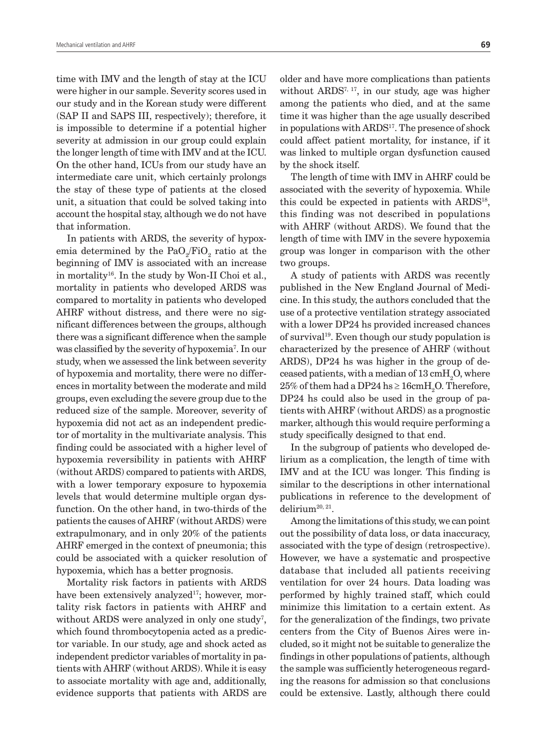time with IMV and the length of stay at the ICU were higher in our sample. Severity scores used in our study and in the Korean study were different (SAP II and SAPS III, respectively); therefore, it is impossible to determine if a potential higher severity at admission in our group could explain the longer length of time with IMV and at the ICU. On the other hand, ICUs from our study have an intermediate care unit, which certainly prolongs the stay of these type of patients at the closed unit, a situation that could be solved taking into account the hospital stay, although we do not have that information.

In patients with ARDS, the severity of hypoxemia determined by the Pa $O_2$ /Fi $O_2$  ratio at the beginning of IMV is associated with an increase in mortality<sup>16</sup>. In the study by Won-II Choi et al., mortality in patients who developed ARDS was compared to mortality in patients who developed AHRF without distress, and there were no significant differences between the groups, although there was a significant difference when the sample was classified by the severity of hypoxemia<sup>7</sup>. In our study, when we assessed the link between severity of hypoxemia and mortality, there were no differences in mortality between the moderate and mild groups, even excluding the severe group due to the reduced size of the sample. Moreover, severity of hypoxemia did not act as an independent predictor of mortality in the multivariate analysis. This finding could be associated with a higher level of hypoxemia reversibility in patients with AHRF (without ARDS) compared to patients with ARDS, with a lower temporary exposure to hypoxemia levels that would determine multiple organ dysfunction. On the other hand, in two-thirds of the patients the causes of AHRF (without ARDS) were extrapulmonary, and in only 20% of the patients AHRF emerged in the context of pneumonia; this could be associated with a quicker resolution of hypoxemia, which has a better prognosis.

Mortality risk factors in patients with ARDS have been extensively analyzed<sup>17</sup>; however, mortality risk factors in patients with AHRF and without ARDS were analyzed in only one study<sup>7</sup>, which found thrombocytopenia acted as a predictor variable. In our study, age and shock acted as independent predictor variables of mortality in patients with AHRF (without ARDS). While it is easy to associate mortality with age and, additionally, evidence supports that patients with ARDS are

older and have more complications than patients without  $ARDS^{7,17}$ , in our study, age was higher among the patients who died, and at the same time it was higher than the age usually described in populations with ARDS<sup>17</sup>. The presence of shock could affect patient mortality, for instance, if it was linked to multiple organ dysfunction caused by the shock itself.

The length of time with IMV in AHRF could be associated with the severity of hypoxemia. While this could be expected in patients with ARDS18, this finding was not described in populations with AHRF (without ARDS). We found that the length of time with IMV in the severe hypoxemia group was longer in comparison with the other two groups.

A study of patients with ARDS was recently published in the New England Journal of Medicine. In this study, the authors concluded that the use of a protective ventilation strategy associated with a lower DP24 hs provided increased chances of survival<sup>19</sup>. Even though our study population is characterized by the presence of AHRF (without ARDS), DP24 hs was higher in the group of deceased patients, with a median of  $13\,\mathrm{cmH}_2\mathrm{O},$  where  $25\%$  of them had a DP24 hs  $\geq 16\mathrm{cm} \mathrm{H}_2\mathrm{O}.$  Therefore, DP24 hs could also be used in the group of patients with AHRF (without ARDS) as a prognostic marker, although this would require performing a study specifically designed to that end.

In the subgroup of patients who developed delirium as a complication, the length of time with IMV and at the ICU was longer. This finding is similar to the descriptions in other international publications in reference to the development of delirium20, 21.

Among the limitations of this study, we can point out the possibility of data loss, or data inaccuracy, associated with the type of design (retrospective). However, we have a systematic and prospective database that included all patients receiving ventilation for over 24 hours. Data loading was performed by highly trained staff, which could minimize this limitation to a certain extent. As for the generalization of the findings, two private centers from the City of Buenos Aires were included, so it might not be suitable to generalize the findings in other populations of patients, although the sample was sufficiently heterogeneous regarding the reasons for admission so that conclusions could be extensive. Lastly, although there could